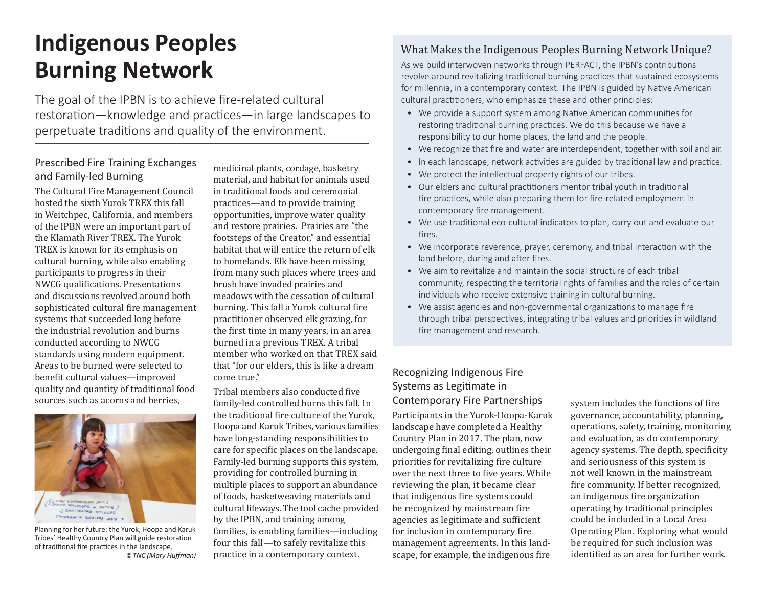# **Indigenous Peoples Burning Network**

The goal of the IPBN is to achieve fire-related cultural restoration—knowledge and practices—in large landscapes to perpetuate traditions and quality of the environment.

## Prescribed Fire Training Exchanges and Family-led Burning

The Cultural Fire Management Council hosted the sixth Yurok TREX this fall in Weitchpec, California, and members of the IPBN were an important part of the Klamath River TREX. The Yurok TREX is known for its emphasis on cultural burning, while also enabling participants to progress in their NWCG qualifications. Presentations and discussions revolved around both sophisticated cultural fire management systems that succeeded long before the industrial revolution and burns conducted according to NWCG standards using modern equipment. Areas to be burned were selected to benefit cultural values—improved quality and quantity of traditional food sources such as acorns and berries,



Planning for her future: the Yurok, Hoopa and Karuk Tribes' Healthy Country Plan will guide restoration of traditional fire practices in the landscape. ©*TNC (Mary Huffman)*

medicinal plants, cordage, basketry material, and habitat for animals used in traditional foods and ceremonial practices—and to provide training opportunities, improve water quality and restore prairies. Prairies are "the footsteps of the Creator," and essential habitat that will entice the return of elk to homelands. Elk have been missing from many such places where trees and brush have invaded prairies and meadows with the cessation of cultural burning. This fall a Yurok cultural fire practitioner observed elk grazing, for the first time in many years, in an area burned in a previous TREX. A tribal member who worked on that TREX said that "for our elders, this is like a dream come true."

Tribal members also conducted five family-led controlled burns this fall. In the traditional fire culture of the Yurok, Hoopa and Karuk Tribes, various families have long-standing responsibilities to care for specific places on the landscape. Family-led burning supports this system, providing for controlled burning in multiple places to support an abundance of foods, basketweaving materials and cultural lifeways. The tool cache provided by the IPBN, and training among families, is enabling families—including four this fall—to safely revitalize this practice in a contemporary context.

# What Makes the Indigenous Peoples Burning Network Unique?

As we build interwoven networks through PERFACT, the IPBN's contributions revolve around revitalizing traditional burning practices that sustained ecosystems for millennia, in a contemporary context. The IPBN is guided by Native American cultural practitioners, who emphasize these and other principles:

- We provide a support system among Native American communities for restoring traditional burning practices. We do this because we have a responsibility to our home places, the land and the people.
- We recognize that fire and water are interdependent, together with soil and air.
- In each landscape, network activities are guided by traditional law and practice.
- We protect the intellectual property rights of our tribes.
- Our elders and cultural practitioners mentor tribal youth in traditional fire practices, while also preparing them for fire-related employment in contemporary fire management.
- We use traditional eco-cultural indicators to plan, carry out and evaluate our fires.
- We incorporate reverence, prayer, ceremony, and tribal interaction with the land before, during and after fires.
- We aim to revitalize and maintain the social structure of each tribal community, respecting the territorial rights of families and the roles of certain individuals who receive extensive training in cultural burning.
- We assist agencies and non-governmental organizations to manage fire through tribal perspectives, integrating tribal values and priorities in wildland fire management and research.

## Recognizing Indigenous Fire Systems as Legitimate in Contemporary Fire Partnerships

Participants in the Yurok-Hoopa-Karuk landscape have completed a Healthy Country Plan in 2017. The plan, now undergoing final editing, outlines their priorities for revitalizing fire culture over the next three to five years. While reviewing the plan, it became clear that indigenous fire systems could be recognized by mainstream fire agencies as legitimate and sufficient for inclusion in contemporary fire management agreements. In this landscape, for example, the indigenous fire

system includes the functions of fire governance, accountability, planning, operations, safety, training, monitoring and evaluation, as do contemporary agency systems. The depth, specificity and seriousness of this system is not well known in the mainstream fire community. If better recognized, an indigenous fire organization operating by traditional principles could be included in a Local Area Operating Plan. Exploring what would be required for such inclusion was identified as an area for further work.